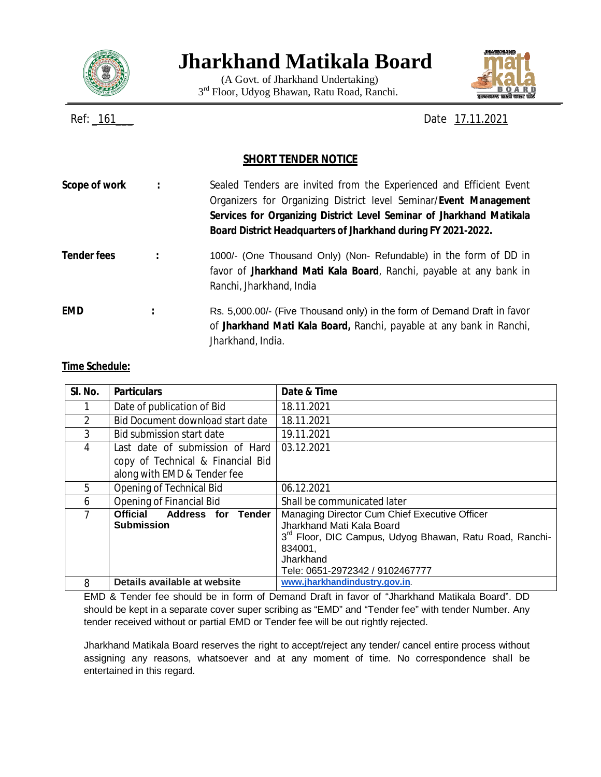

# **Jharkhand Matikala Board**

(A Govt. of Jharkhand Undertaking) 3<sup>rd</sup> Floor, Udyog Bhawan, Ratu Road, Ranchi.



Ref: \_161\_\_\_ Date 17.11.2021

## **SHORT TENDER NOTICE**

| Scope of work      |   | Sealed Tenders are invited from the Experienced and Efficient Event<br>Organizers for Organizing District level Seminar/Event Management<br>Services for Organizing District Level Seminar of Jharkhand Matikala<br>Board District Headquarters of Jharkhand during FY 2021-2022. |
|--------------------|---|-----------------------------------------------------------------------------------------------------------------------------------------------------------------------------------------------------------------------------------------------------------------------------------|
| <b>Tender fees</b> |   | 1000/- (One Thousand Only) (Non-Refundable) in the form of DD in<br>favor of Jharkhand Mati Kala Board, Ranchi, payable at any bank in<br>Ranchi, Jharkhand, India                                                                                                                |
| <b>EMD</b>         | : | Rs. 5,000.00/- (Five Thousand only) in the form of Demand Draft in favor<br>of Jharkhand Mati Kala Board, Ranchi, payable at any bank in Ranchi,<br>Jharkhand, India.                                                                                                             |

#### **Time Schedule:**

| SI. No. | <b>Particulars</b>                                                                                  | Date & Time                                                                                                                                                                                                  |
|---------|-----------------------------------------------------------------------------------------------------|--------------------------------------------------------------------------------------------------------------------------------------------------------------------------------------------------------------|
|         | Date of publication of Bid                                                                          | 18.11.2021                                                                                                                                                                                                   |
| 2       | Bid Document download start date                                                                    | 18.11.2021                                                                                                                                                                                                   |
| 3       | Bid submission start date                                                                           | 19.11.2021                                                                                                                                                                                                   |
| 4       | Last date of submission of Hard<br>copy of Technical & Financial Bid<br>along with EMD & Tender fee | 03.12.2021                                                                                                                                                                                                   |
| 5       | <b>Opening of Technical Bid</b>                                                                     | 06.12.2021                                                                                                                                                                                                   |
| 6       | Opening of Financial Bid                                                                            | Shall be communicated later                                                                                                                                                                                  |
| 7       | Official<br><b>Address for Tender</b><br><b>Submission</b>                                          | Managing Director Cum Chief Executive Officer<br>Jharkhand Mati Kala Board<br>3 <sup>rd</sup> Floor, DIC Campus, Udyog Bhawan, Ratu Road, Ranchi-<br>834001,<br>Jharkhand<br>Tele: 0651-2972342 / 9102467777 |
| 8       | Details available at website                                                                        | www.jharkhandindustry.gov.in.                                                                                                                                                                                |

EMD & Tender fee should be in form of Demand Draft in favor of "Jharkhand Matikala Board". DD should be kept in a separate cover super scribing as "EMD" and "Tender fee" with tender Number. Any tender received without or partial EMD or Tender fee will be out rightly rejected.

Jharkhand Matikala Board reserves the right to accept/reject any tender/ cancel entire process without assigning any reasons, whatsoever and at any moment of time. No correspondence shall be entertained in this regard.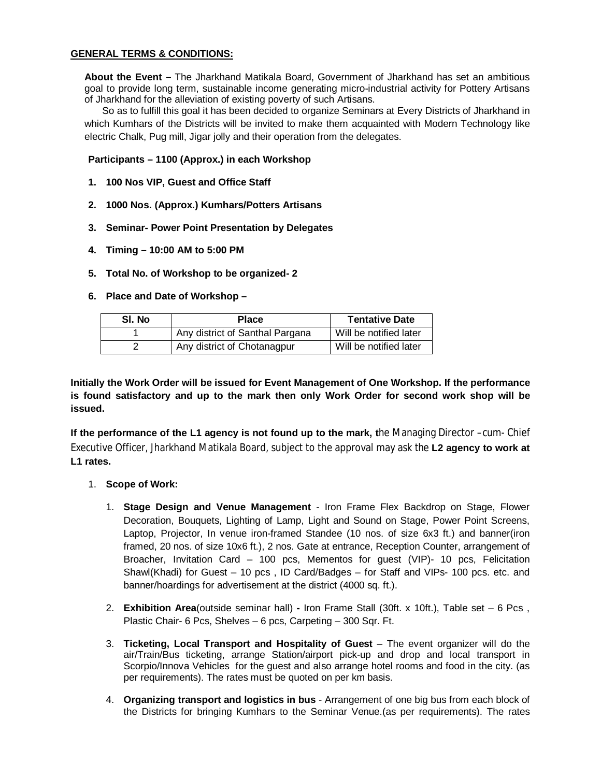#### **GENERAL TERMS & CONDITIONS:**

**About the Event –** The Jharkhand Matikala Board, Government of Jharkhand has set an ambitious goal to provide long term, sustainable income generating micro-industrial activity for Pottery Artisans of Jharkhand for the alleviation of existing poverty of such Artisans.

So as to fulfill this goal it has been decided to organize Seminars at Every Districts of Jharkhand in which Kumhars of the Districts will be invited to make them acquainted with Modern Technology like electric Chalk, Pug mill, Jigar jolly and their operation from the delegates.

#### **Participants – 1100 (Approx.) in each Workshop**

- **1. 100 Nos VIP, Guest and Office Staff**
- **2. 1000 Nos. (Approx.) Kumhars/Potters Artisans**
- **3. Seminar- Power Point Presentation by Delegates**
- **4. Timing – 10:00 AM to 5:00 PM**
- **5. Total No. of Workshop to be organized- 2**
- **6. Place and Date of Workshop**

| SI. No | <b>Place</b>                    | <b>Tentative Date</b>  |
|--------|---------------------------------|------------------------|
|        | Any district of Santhal Pargana | Will be notified later |
|        | Any district of Chotanagpur     | Will be notified later |

**Initially the Work Order will be issued for Event Management of One Workshop. If the performance is found satisfactory and up to the mark then only Work Order for second work shop will be issued.**

**If the performance of the L1 agency is not found up to the mark, t**he Managing Director –cum- Chief Executive Officer, Jharkhand Matikala Board, subject to the approval may ask the **L2 agency to work at L1 rates.**

- 1. **Scope of Work:**
	- 1. **Stage Design and Venue Management** Iron Frame Flex Backdrop on Stage, Flower Decoration, Bouquets, Lighting of Lamp, Light and Sound on Stage, Power Point Screens, Laptop, Projector, In venue iron-framed Standee (10 nos. of size 6x3 ft.) and banner(iron framed, 20 nos. of size 10x6 ft.), 2 nos. Gate at entrance, Reception Counter, arrangement of Broacher, Invitation Card – 100 pcs, Mementos for guest (VIP)- 10 pcs, Felicitation Shawl(Khadi) for Guest – 10 pcs , ID Card/Badges – for Staff and VIPs- 100 pcs. etc. and banner/hoardings for advertisement at the district (4000 sq. ft.).
	- 2. **Exhibition Area**(outside seminar hall) **-** Iron Frame Stall (30ft. x 10ft.), Table set 6 Pcs , Plastic Chair- 6 Pcs, Shelves – 6 pcs, Carpeting – 300 Sqr. Ft.
	- 3. **Ticketing, Local Transport and Hospitality of Guest** The event organizer will do the air/Train/Bus ticketing, arrange Station/airport pick-up and drop and local transport in Scorpio/Innova Vehicles for the guest and also arrange hotel rooms and food in the city. (as per requirements). The rates must be quoted on per km basis.
	- 4. **Organizing transport and logistics in bus** Arrangement of one big bus from each block of the Districts for bringing Kumhars to the Seminar Venue.(as per requirements). The rates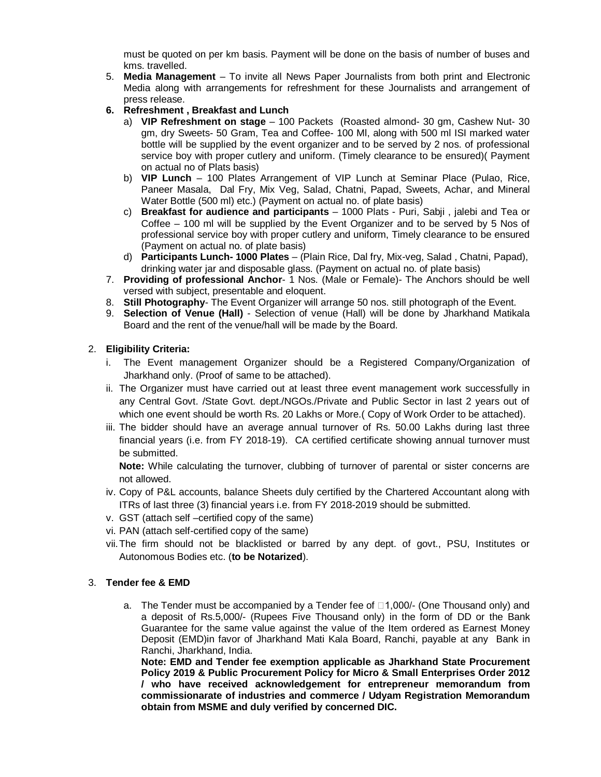must be quoted on per km basis. Payment will be done on the basis of number of buses and kms. travelled.

- 5. **Media Management** To invite all News Paper Journalists from both print and Electronic Media along with arrangements for refreshment for these Journalists and arrangement of press release.
- **6. Refreshment , Breakfast and Lunch**
	- a) **VIP Refreshment on stage** 100 Packets (Roasted almond- 30 gm, Cashew Nut- 30 gm, dry Sweets- 50 Gram, Tea and Coffee- 100 Ml, along with 500 ml ISI marked water bottle will be supplied by the event organizer and to be served by 2 nos. of professional service boy with proper cutlery and uniform. (Timely clearance to be ensured)( Payment on actual no of Plats basis)
	- b) **VIP Lunch** 100 Plates Arrangement of VIP Lunch at Seminar Place (Pulao, Rice, Paneer Masala, Dal Fry, Mix Veg, Salad, Chatni, Papad, Sweets, Achar, and Mineral Water Bottle (500 ml) etc.) (Payment on actual no. of plate basis)
	- c) **Breakfast for audience and participants** 1000 Plats Puri, Sabji , jalebi and Tea or Coffee – 100 ml will be supplied by the Event Organizer and to be served by 5 Nos of professional service boy with proper cutlery and uniform, Timely clearance to be ensured (Payment on actual no. of plate basis)
	- d) **Participants Lunch- 1000 Plates** (Plain Rice, Dal fry, Mix-veg, Salad , Chatni, Papad), drinking water jar and disposable glass. (Payment on actual no. of plate basis)
- 7. **Providing of professional Anchor** 1 Nos. (Male or Female)- The Anchors should be well versed with subject, presentable and eloquent.
- 8. **Still Photography** The Event Organizer will arrange 50 nos. still photograph of the Event.
- 9. **Selection of Venue (Hall)** Selection of venue (Hall) will be done by Jharkhand Matikala Board and the rent of the venue/hall will be made by the Board.

#### 2. **Eligibility Criteria:**

- i. The Event management Organizer should be a Registered Company/Organization of Jharkhand only. (Proof of same to be attached).
- ii. The Organizer must have carried out at least three event management work successfully in any Central Govt. /State Govt. dept./NGOs./Private and Public Sector in last 2 years out of which one event should be worth Rs. 20 Lakhs or More.( Copy of Work Order to be attached).
- iii. The bidder should have an average annual turnover of Rs. 50.00 Lakhs during last three financial years (i.e. from FY 2018-19). CA certified certificate showing annual turnover must be submitted.

**Note:** While calculating the turnover, clubbing of turnover of parental or sister concerns are not allowed.

- iv. Copy of P&L accounts, balance Sheets duly certified by the Chartered Accountant along with ITRs of last three (3) financial years i.e. from FY 2018-2019 should be submitted.
- v. GST (attach self –certified copy of the same)
- vi. PAN (attach self-certified copy of the same)
- vii.The firm should not be blacklisted or barred by any dept. of govt., PSU, Institutes or Autonomous Bodies etc. (**to be Notarized**).

#### 3. **Tender fee & EMD**

a. The Tender must be accompanied by a Tender fee of  $\Box$ 1,000/- (One Thousand only) and a deposit of Rs.5,000/- (Rupees Five Thousand only) in the form of DD or the Bank Guarantee for the same value against the value of the Item ordered as Earnest Money Deposit (EMD)in favor of Jharkhand Mati Kala Board, Ranchi, payable at any Bank in Ranchi, Jharkhand, India.

**Note: EMD and Tender fee exemption applicable as Jharkhand State Procurement Policy 2019 & Public Procurement Policy for Micro & Small Enterprises Order 2012 / who have received acknowledgement for entrepreneur memorandum from commissionarate of industries and commerce / Udyam Registration Memorandum obtain from MSME and duly verified by concerned DIC.**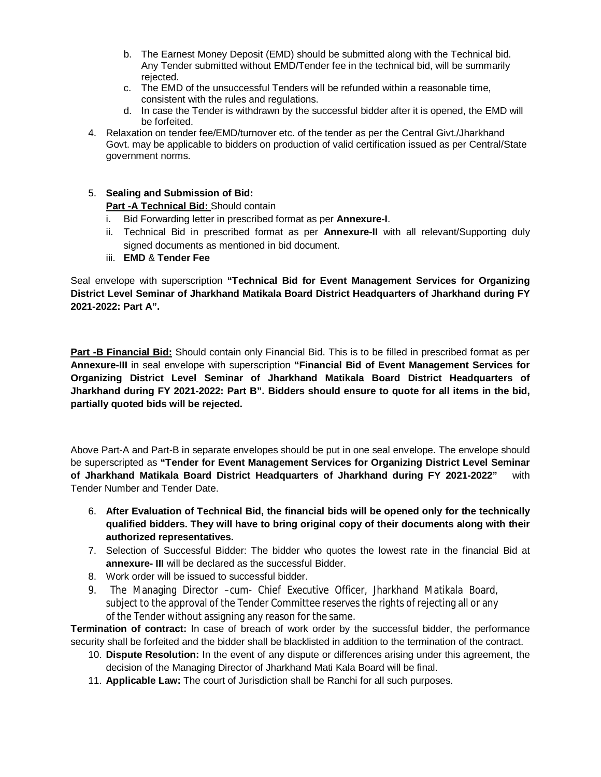- b. The Earnest Money Deposit (EMD) should be submitted along with the Technical bid. Any Tender submitted without EMD/Tender fee in the technical bid, will be summarily rejected.
- c. The EMD of the unsuccessful Tenders will be refunded within a reasonable time, consistent with the rules and regulations.
- d. In case the Tender is withdrawn by the successful bidder after it is opened, the EMD will be forfeited.
- 4. Relaxation on tender fee/EMD/turnover etc. of the tender as per the Central Givt./Jharkhand Govt. may be applicable to bidders on production of valid certification issued as per Central/State government norms.
- 5. **Sealing and Submission of Bid: Part -A Technical Bid:** Should contain
	- i. Bid Forwarding letter in prescribed format as per **Annexure-I**.
	- ii. Technical Bid in prescribed format as per **Annexure-II** with all relevant/Supporting duly signed documents as mentioned in bid document.
	- iii. **EMD** & **Tender Fee**

Seal envelope with superscription **"Technical Bid for Event Management Services for Organizing District Level Seminar of Jharkhand Matikala Board District Headquarters of Jharkhand during FY 2021-2022: Part A".**

**Part -B Financial Bid:** Should contain only Financial Bid. This is to be filled in prescribed format as per **Annexure-III** in seal envelope with superscription **"Financial Bid of Event Management Services for Organizing District Level Seminar of Jharkhand Matikala Board District Headquarters of Jharkhand during FY 2021-2022: Part B". Bidders should ensure to quote for all items in the bid, partially quoted bids will be rejected.**

Above Part-A and Part-B in separate envelopes should be put in one seal envelope. The envelope should be superscripted as **"Tender for Event Management Services for Organizing District Level Seminar of Jharkhand Matikala Board District Headquarters of Jharkhand during FY 2021-2022"** with Tender Number and Tender Date.

- 6. **After Evaluation of Technical Bid, the financial bids will be opened only for the technically qualified bidders. They will have to bring original copy of their documents along with their authorized representatives.**
- 7. Selection of Successful Bidder: The bidder who quotes the lowest rate in the financial Bid at **annexure- III** will be declared as the successful Bidder.
- 8. Work order will be issued to successful bidder.
- 9. The Managing Director –cum- Chief Executive Officer, Jharkhand Matikala Board, subject to the approval of the Tender Committee reserves the rights of rejecting all or any of the Tender without assigning any reason for the same.

**Termination of contract:** In case of breach of work order by the successful bidder, the performance security shall be forfeited and the bidder shall be blacklisted in addition to the termination of the contract.

- 10. **Dispute Resolution:** In the event of any dispute or differences arising under this agreement, the decision of the Managing Director of Jharkhand Mati Kala Board will be final.
- 11. **Applicable Law:** The court of Jurisdiction shall be Ranchi for all such purposes.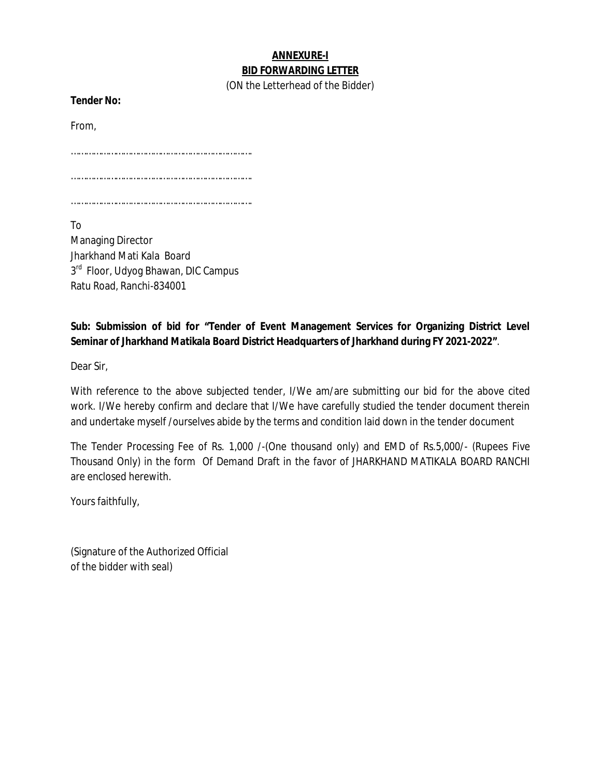## **ANNEXURE-I BID FORWARDING LETTER**

(ON the Letterhead of the Bidder)

**Tender No:** 

From,

……………………………………………………………….

……………………………………………………………….

……………………………………………………………….

To Managing Director Jharkhand Mati Kala Board 3<sup>rd</sup> Floor, Udyog Bhawan, DIC Campus Ratu Road, Ranchi-834001

**Sub: Submission of bid for "Tender of Event Management Services for Organizing District Level Seminar of Jharkhand Matikala Board District Headquarters of Jharkhand during FY 2021-2022"**.

Dear Sir,

With reference to the above subjected tender, I/We am/are submitting our bid for the above cited work. I/We hereby confirm and declare that I/We have carefully studied the tender document therein and undertake myself /ourselves abide by the terms and condition laid down in the tender document

The Tender Processing Fee of Rs. 1,000 /-(One thousand only) and EMD of Rs.5,000/- (Rupees Five Thousand Only) in the form Of Demand Draft in the favor of JHARKHAND MATIKALA BOARD RANCHI are enclosed herewith.

Yours faithfully,

(Signature of the Authorized Official of the bidder with seal)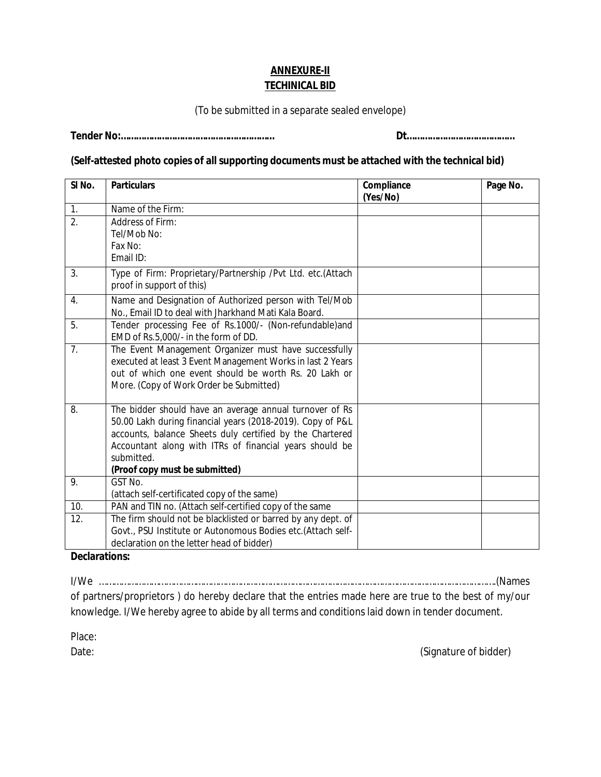# **ANNEXURE-II TECHINICAL BID**

(To be submitted in a separate sealed envelope)

**Tender No:…………………………………………………… Dt……………………………………**

## **(Self-attested photo copies of all supporting documents must be attached with the technical bid)**

| SI <sub>No.</sub> | <b>Particulars</b>                                                                       | Compliance<br>(Yes/No) | Page No. |
|-------------------|------------------------------------------------------------------------------------------|------------------------|----------|
| 1.                | Name of the Firm:                                                                        |                        |          |
| $\overline{2}$ .  | Address of Firm:                                                                         |                        |          |
|                   | Tel/Mob No:                                                                              |                        |          |
|                   | Fax No:                                                                                  |                        |          |
|                   | Email ID:                                                                                |                        |          |
|                   |                                                                                          |                        |          |
| 3.                | Type of Firm: Proprietary/Partnership /Pvt Ltd. etc.(Attach<br>proof in support of this) |                        |          |
|                   |                                                                                          |                        |          |
| 4.                | Name and Designation of Authorized person with Tel/Mob                                   |                        |          |
|                   | No., Email ID to deal with Jharkhand Mati Kala Board.                                    |                        |          |
| 5.                | Tender processing Fee of Rs.1000/- (Non-refundable)and                                   |                        |          |
|                   | EMD of Rs.5,000/- in the form of DD.                                                     |                        |          |
| 7.                | The Event Management Organizer must have successfully                                    |                        |          |
|                   | executed at least 3 Event Management Works in last 2 Years                               |                        |          |
|                   | out of which one event should be worth Rs. 20 Lakh or                                    |                        |          |
|                   | More. (Copy of Work Order be Submitted)                                                  |                        |          |
| 8.                | The bidder should have an average annual turnover of Rs                                  |                        |          |
|                   | 50.00 Lakh during financial years (2018-2019). Copy of P&L                               |                        |          |
|                   | accounts, balance Sheets duly certified by the Chartered                                 |                        |          |
|                   | Accountant along with ITRs of financial years should be                                  |                        |          |
|                   | submitted.                                                                               |                        |          |
|                   | (Proof copy must be submitted)                                                           |                        |          |
| 9.                | GST No.                                                                                  |                        |          |
|                   | (attach self-certificated copy of the same)                                              |                        |          |
| 10.               | PAN and TIN no. (Attach self-certified copy of the same                                  |                        |          |
| 12.               | The firm should not be blacklisted or barred by any dept. of                             |                        |          |
|                   | Govt., PSU Institute or Autonomous Bodies etc.(Attach self-                              |                        |          |
|                   | declaration on the letter head of bidder)                                                |                        |          |

### **Declarations:**

I/We …………………………………………………………………………………………………………………………………………….(Names of partners/proprietors ) do hereby declare that the entries made here are true to the best of my/our knowledge. I/We hereby agree to abide by all terms and conditions laid down in tender document.

Place:

Date: (Signature of bidder)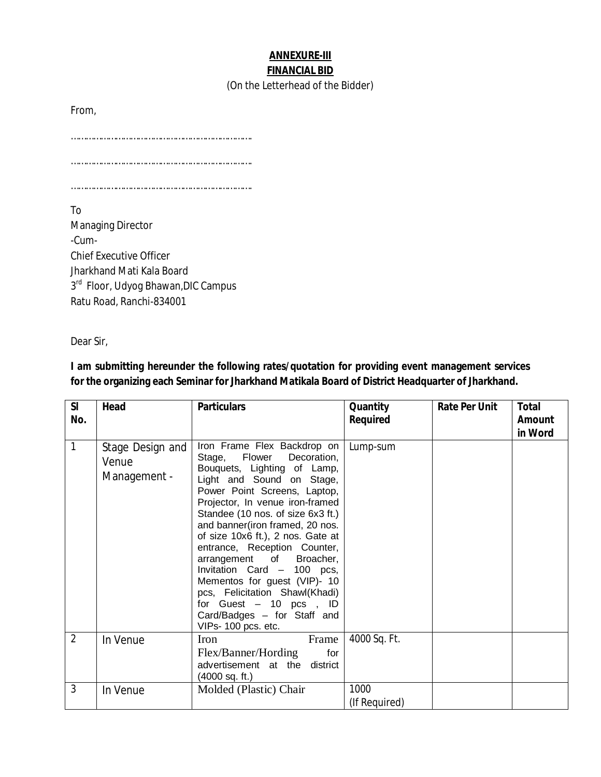# **ANNEXURE-III FINANCIAL BID**

#### (On the Letterhead of the Bidder)

From,

……………………………………………………………….

……………………………………………………………….

……………………………………………………………….

To

Managing Director -Cum-Chief Executive Officer Jharkhand Mati Kala Board 3<sup>rd</sup> Floor, Udyog Bhawan, DIC Campus Ratu Road, Ranchi-834001

Dear Sir,

# **I am submitting hereunder the following rates/quotation for providing event management services for the organizing each Seminar for Jharkhand Matikala Board of District Headquarter of Jharkhand.**

| SI<br>No.      | Head                                      | <b>Particulars</b>                                                                                                                                                                                                                                                                                                                                                                                                                                                                                                                                     | Quantity<br>Required  | <b>Rate Per Unit</b> | <b>Total</b><br>Amount<br>in Word |
|----------------|-------------------------------------------|--------------------------------------------------------------------------------------------------------------------------------------------------------------------------------------------------------------------------------------------------------------------------------------------------------------------------------------------------------------------------------------------------------------------------------------------------------------------------------------------------------------------------------------------------------|-----------------------|----------------------|-----------------------------------|
| $\mathbf{1}$   | Stage Design and<br>Venue<br>Management - | Iron Frame Flex Backdrop on<br>Flower<br>Stage,<br>Decoration,<br>Bouquets, Lighting of Lamp,<br>Light and Sound on Stage,<br>Power Point Screens, Laptop,<br>Projector, In venue iron-framed<br>Standee (10 nos. of size 6x3 ft.)<br>and banner(iron framed, 20 nos.<br>of size 10x6 ft.), 2 nos. Gate at<br>entrance, Reception Counter,<br>arrangement of Broacher,<br>Invitation Card - 100 pcs,<br>Mementos for guest (VIP)- 10<br>pcs, Felicitation Shawl(Khadi)<br>for Guest $-10$ pcs, ID<br>Card/Badges - for Staff and<br>VIPs-100 pcs. etc. | Lump-sum              |                      |                                   |
| $\overline{2}$ | In Venue                                  | Iron<br>Frame<br>Flex/Banner/Hording<br>for<br>advertisement at the district<br>$(4000$ sq. ft.)                                                                                                                                                                                                                                                                                                                                                                                                                                                       | 4000 Sq. Ft.          |                      |                                   |
| 3              | In Venue                                  | Molded (Plastic) Chair                                                                                                                                                                                                                                                                                                                                                                                                                                                                                                                                 | 1000<br>(If Required) |                      |                                   |